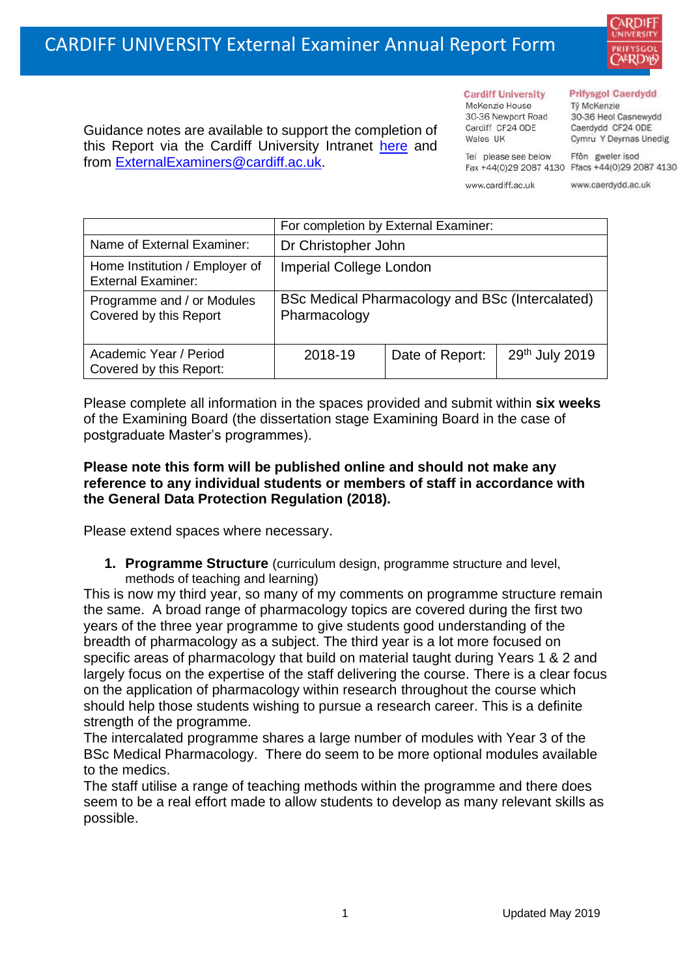

Guidance notes are available to support the completion of this Report via the Cardiff University Intranet [here](https://intranet.cardiff.ac.uk/staff/teaching-and-supporting-students/exams-and-assessment/exam-boards-and-external-examiners/for-current-external-examiners/external-examiners-reports) and from [ExternalExaminers@cardiff.ac.uk.](mailto:ExternalExaminers@cardiff.ac.uk)

**Cardiff University** McKenzie House 30-36 Newport Road Cardiff CF24 ODE

Wales UK

#### **Prifysgol Caerdydd**

Từ McKenzie 30-36 Heol Casnewydd Caerdydd CF24 ODE Cymru Y Deyrnas Unedig

Ffôn gweler isod Fax +44(0)29 2087 4130 Ffacs +44(0)29 2087 4130

www.cardiff.ac.uk

Tel please see below

www.caerdydd.ac.uk

|                                                             | For completion by External Examiner:                            |                 |                |  |  |
|-------------------------------------------------------------|-----------------------------------------------------------------|-----------------|----------------|--|--|
| Name of External Examiner:                                  | Dr Christopher John                                             |                 |                |  |  |
| Home Institution / Employer of<br><b>External Examiner:</b> | <b>Imperial College London</b>                                  |                 |                |  |  |
| Programme and / or Modules<br>Covered by this Report        | BSc Medical Pharmacology and BSc (Intercalated)<br>Pharmacology |                 |                |  |  |
| Academic Year / Period<br>Covered by this Report:           | 2018-19                                                         | Date of Report: | 29th July 2019 |  |  |

Please complete all information in the spaces provided and submit within **six weeks** of the Examining Board (the dissertation stage Examining Board in the case of postgraduate Master's programmes).

# **Please note this form will be published online and should not make any reference to any individual students or members of staff in accordance with the General Data Protection Regulation (2018).**

Please extend spaces where necessary.

**1. Programme Structure** (curriculum design, programme structure and level, methods of teaching and learning)

This is now my third year, so many of my comments on programme structure remain the same. A broad range of pharmacology topics are covered during the first two years of the three year programme to give students good understanding of the breadth of pharmacology as a subject. The third year is a lot more focused on specific areas of pharmacology that build on material taught during Years 1 & 2 and largely focus on the expertise of the staff delivering the course. There is a clear focus on the application of pharmacology within research throughout the course which should help those students wishing to pursue a research career. This is a definite strength of the programme.

The intercalated programme shares a large number of modules with Year 3 of the BSc Medical Pharmacology. There do seem to be more optional modules available to the medics.

The staff utilise a range of teaching methods within the programme and there does seem to be a real effort made to allow students to develop as many relevant skills as possible.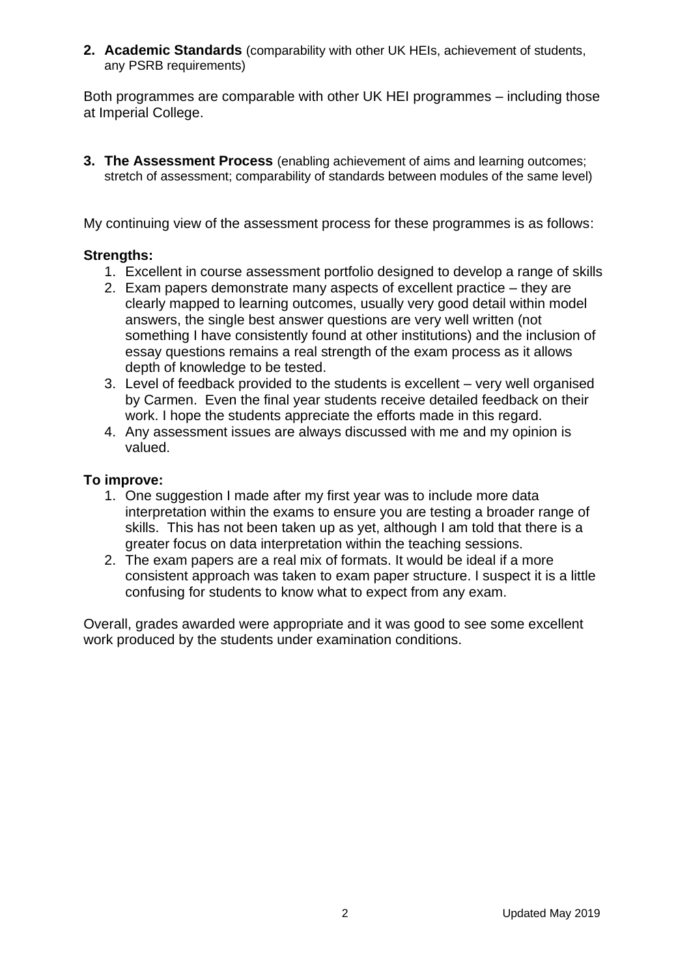**2. Academic Standards** (comparability with other UK HEIs, achievement of students, any PSRB requirements)

Both programmes are comparable with other UK HEI programmes – including those at Imperial College.

**3. The Assessment Process** (enabling achievement of aims and learning outcomes; stretch of assessment; comparability of standards between modules of the same level)

My continuing view of the assessment process for these programmes is as follows:

# **Strengths:**

- 1. Excellent in course assessment portfolio designed to develop a range of skills
- 2. Exam papers demonstrate many aspects of excellent practice they are clearly mapped to learning outcomes, usually very good detail within model answers, the single best answer questions are very well written (not something I have consistently found at other institutions) and the inclusion of essay questions remains a real strength of the exam process as it allows depth of knowledge to be tested.
- 3. Level of feedback provided to the students is excellent very well organised by Carmen. Even the final year students receive detailed feedback on their work. I hope the students appreciate the efforts made in this regard.
- 4. Any assessment issues are always discussed with me and my opinion is valued.

### **To improve:**

- 1. One suggestion I made after my first year was to include more data interpretation within the exams to ensure you are testing a broader range of skills. This has not been taken up as yet, although I am told that there is a greater focus on data interpretation within the teaching sessions.
- 2. The exam papers are a real mix of formats. It would be ideal if a more consistent approach was taken to exam paper structure. I suspect it is a little confusing for students to know what to expect from any exam.

Overall, grades awarded were appropriate and it was good to see some excellent work produced by the students under examination conditions.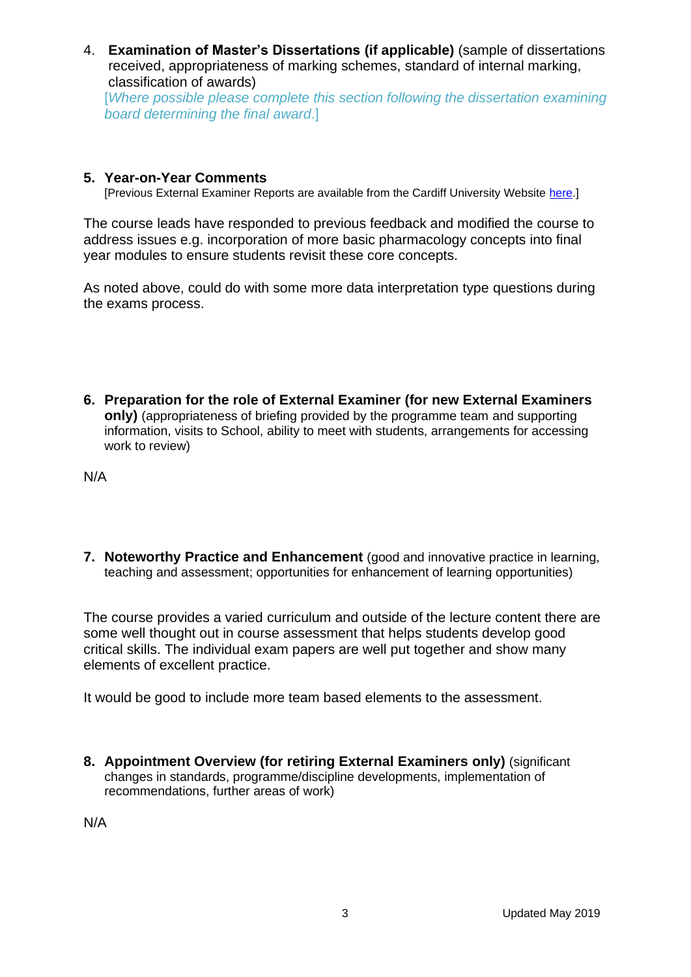4. **Examination of Master's Dissertations (if applicable)** (sample of dissertations received, appropriateness of marking schemes, standard of internal marking, classification of awards)

[*Where possible please complete this section following the dissertation examining board determining the final award*.]

# **5. Year-on-Year Comments**

[Previous External Examiner Reports are available from the Cardiff University Website [here.](https://www.cardiff.ac.uk/public-information/quality-and-standards/external-examiner-reports)]

The course leads have responded to previous feedback and modified the course to address issues e.g. incorporation of more basic pharmacology concepts into final year modules to ensure students revisit these core concepts.

As noted above, could do with some more data interpretation type questions during the exams process.

**6. Preparation for the role of External Examiner (for new External Examiners only)** (appropriateness of briefing provided by the programme team and supporting information, visits to School, ability to meet with students, arrangements for accessing work to review)

N/A

**7. Noteworthy Practice and Enhancement** (good and innovative practice in learning, teaching and assessment; opportunities for enhancement of learning opportunities)

The course provides a varied curriculum and outside of the lecture content there are some well thought out in course assessment that helps students develop good critical skills. The individual exam papers are well put together and show many elements of excellent practice.

It would be good to include more team based elements to the assessment.

**8. Appointment Overview (for retiring External Examiners only)** (significant changes in standards, programme/discipline developments, implementation of recommendations, further areas of work)

N/A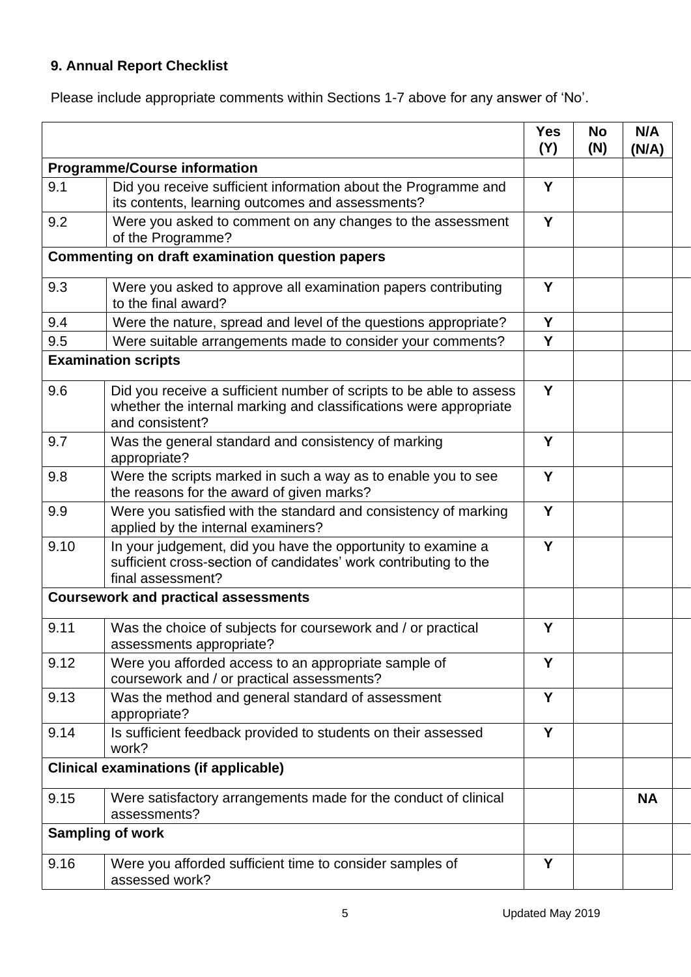# **9. Annual Report Checklist**

Please include appropriate comments within Sections 1-7 above for any answer of 'No'.

|      |                                                                                                                                                             | <b>Yes</b><br>(Y) | <b>No</b><br>(N) | N/A<br>(N/A) |
|------|-------------------------------------------------------------------------------------------------------------------------------------------------------------|-------------------|------------------|--------------|
|      | <b>Programme/Course information</b>                                                                                                                         |                   |                  |              |
| 9.1  | Did you receive sufficient information about the Programme and<br>its contents, learning outcomes and assessments?                                          | Y                 |                  |              |
| 9.2  | Were you asked to comment on any changes to the assessment<br>of the Programme?                                                                             | Y                 |                  |              |
|      | <b>Commenting on draft examination question papers</b>                                                                                                      |                   |                  |              |
| 9.3  | Were you asked to approve all examination papers contributing<br>to the final award?                                                                        | Y                 |                  |              |
| 9.4  | Were the nature, spread and level of the questions appropriate?                                                                                             | Y                 |                  |              |
| 9.5  | Were suitable arrangements made to consider your comments?                                                                                                  | Y                 |                  |              |
|      | <b>Examination scripts</b>                                                                                                                                  |                   |                  |              |
| 9.6  | Did you receive a sufficient number of scripts to be able to assess<br>whether the internal marking and classifications were appropriate<br>and consistent? | Y                 |                  |              |
| 9.7  | Was the general standard and consistency of marking<br>appropriate?                                                                                         | Y                 |                  |              |
| 9.8  | Were the scripts marked in such a way as to enable you to see<br>the reasons for the award of given marks?                                                  | Y                 |                  |              |
| 9.9  | Were you satisfied with the standard and consistency of marking<br>applied by the internal examiners?                                                       | Y                 |                  |              |
| 9.10 | In your judgement, did you have the opportunity to examine a<br>sufficient cross-section of candidates' work contributing to the<br>final assessment?       | Y                 |                  |              |
|      | <b>Coursework and practical assessments</b>                                                                                                                 |                   |                  |              |
| 9.11 | Was the choice of subjects for coursework and / or practical<br>assessments appropriate?                                                                    | Y                 |                  |              |
| 9.12 | Were you afforded access to an appropriate sample of<br>coursework and / or practical assessments?                                                          | Y                 |                  |              |
| 9.13 | Was the method and general standard of assessment<br>appropriate?                                                                                           | Y                 |                  |              |
| 9.14 | Is sufficient feedback provided to students on their assessed<br>work?                                                                                      | Y                 |                  |              |
|      | <b>Clinical examinations (if applicable)</b>                                                                                                                |                   |                  |              |
| 9.15 | Were satisfactory arrangements made for the conduct of clinical<br>assessments?                                                                             |                   |                  | <b>NA</b>    |
|      | <b>Sampling of work</b>                                                                                                                                     |                   |                  |              |
| 9.16 | Were you afforded sufficient time to consider samples of<br>assessed work?                                                                                  | Y                 |                  |              |